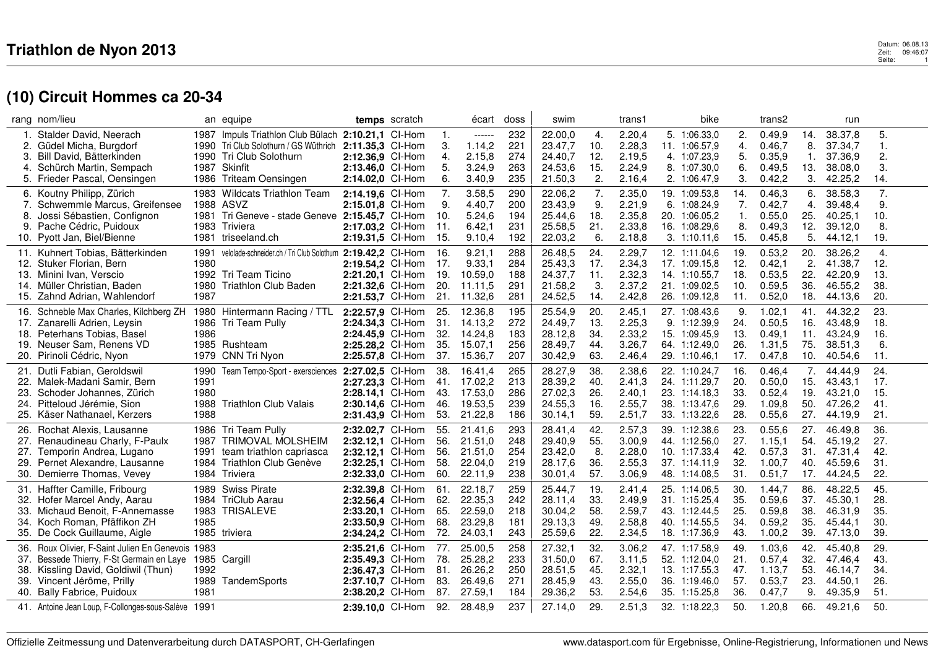#### $\mathbf 3$ <br> $\mathbf 2$ eit: 09:46:07 Seite: 09:46:07<br>Seite: 01 Datum: 06.08.13<br>Zeit: 09:46:07<br>Seite: 1

# **(10) Circuit Hommes ca 20-34**

|     | rang nom/lieu                                       |      | an equipe                                                   |                  | temps scratch |                | écart       | doss | swim    |     | trans1 |                  | bike |     | trans2  |     | run     |                    |  |
|-----|-----------------------------------------------------|------|-------------------------------------------------------------|------------------|---------------|----------------|-------------|------|---------|-----|--------|------------------|------|-----|---------|-----|---------|--------------------|--|
|     | Stalder David, Neerach                              |      | 1987 Impuls Triathlon Club Bülach 2:10.21,1 CI-Hom          |                  |               | $\mathbf{1}$ . | ------      | 232  | 22.00,0 | 4.  | 2.20,4 | 5. 1:06.33,0     |      | 2.  | 0.49.9  | 14. | 38.37,8 | 5.                 |  |
|     | 2. Güdel Micha, Burgdorf                            |      | 1990 Tri Club Solothurn / GS Wüthrich                       | 2:11.35,3 Cl-Hom |               | 3              | 1.14,2      | 221  | 23.47,7 | 10. | 2.28,3 | 11. 1:06.57,9    |      | 4.  | 0.46,7  | 8.  | 37.34,7 | 1.                 |  |
| 3.  | Bill David, Bätterkinden                            |      | 1990 Tri Club Solothurn                                     | 2:12.36.9 CI-Hom |               | 4.             | 2.15,8      | 274  | 24.40,7 | 12. | 2.19,5 | 4. 1:07.23.9     |      | 5.  | 0.35,9  | -1. | 37.36,9 | 2.                 |  |
| 4.  | Schürch Martin, Sempach                             |      | 1987 Skinfit                                                | 2:13.46,0 CI-Hom |               | 5.             | 3.24,9      | 263  | 24.53,6 | 15. | 2.24,9 | 8. 1:07.30,0     |      | 6.  | 0.49,5  | 13. | 38.08,0 | 3.                 |  |
|     | 5. Frieder Pascal, Oensingen                        |      | 1986 Triteam Oensingen                                      | 2:14.02,0 CI-Hom |               | 6.             | 3.40,9      | 235  | 21.50,3 | 2.  | 2.16,4 | 2. 1:06.47,9     |      | 3.  | 0.42,2  | 3.  | 42.25,2 | 14.                |  |
|     | 6. Koutny Philipp, Zürich                           |      | 1983 Wildcats Triathlon Team                                | 2:14.19.6 CI-Hom |               | 7.             | 3.58,5      | 290  | 22.06,2 | 7.  | 2.35,0 | 19. 1:09.53,8    |      | 14. | 0.46.3  | 6.  | 38.58,3 | 7.                 |  |
| 7.  | Schwemmle Marcus, Greifensee                        |      | 1988 ASVZ                                                   | 2:15.01,8 Cl-Hom |               | 9.             | 4.40,7      | 200  | 23.43,9 | 9.  | 2.21,9 | 6. 1:08.24,9     |      | 7.  | 0.42,7  | 4.  | 39.48,4 | 9.                 |  |
| 8.  | Jossi Sébastien, Confignon                          | 1981 | Tri Geneve - stade Geneve 2:15.45,7 CI-Hom                  |                  |               | 10.            | 5.24,6      | 194  | 25.44,6 | 18. | 2.35,8 | 20.<br>1:06.05.2 |      | 1.  | 0.55.0  | 25. | 40.25,1 | 10.                |  |
| 9.  | Pache Cédric, Puidoux                               |      | 1983 Triviera                                               | 2:17.03,2 CI-Hom |               | 11.            | 6.42,1      | 231  | 25.58,5 | 21. | 2.33,8 | 16. 1:08.29,6    |      | 8.  | 0.49,3  | 12. | 39.12,0 | 8.                 |  |
|     | 10. Pyott Jan, Biel/Bienne                          | 1981 | triseeland.ch                                               | 2:19.31,5 Cl-Hom |               | 15.            | 9.10,4      | 192  | 22.03,2 | 6.  | 2.18,8 | 3. 1:10.11,6     |      | 15. | 0.45, 8 | 5.  | 44.12,1 | 19.                |  |
|     |                                                     |      |                                                             |                  |               |                |             |      |         |     |        |                  |      |     |         |     |         |                    |  |
|     | 11. Kuhnert Tobias, Bätterkinden                    | 1991 | velolade-schneider.ch / Tri Club Solothurn 2:19.42,2 CI-Hom |                  |               | 16.            | 9.21,1      | 288  | 26.48,5 | 24. | 2.29,7 | 12. 1:11.04,6    |      | 19. | 0.53,2  | 20. | 38.26,2 | $\boldsymbol{4}$ . |  |
|     | 12. Stuker Florian, Bern                            | 1980 |                                                             | 2:19.54,2 CI-Hom |               | 17.            | 9.33,1      | 284  | 25.43,3 | 17. | 2.34,3 | 17. 1:09.15,8    |      | 12. | 0.42,1  | 2.  | 41.38,7 | 12.                |  |
|     | 13. Minini Ivan, Verscio                            |      | 1992 Tri Team Ticino                                        | 2:21.20,1 CI-Hom |               | 19.            | 10.59,0     | 188  | 24.37,7 | 11. | 2.32,3 | 14. 1:10.55,7    |      | 18. | 0.53,5  | 22. | 42.20,9 | 13.                |  |
|     | 14. Müller Christian, Baden                         | 1980 | <b>Triathlon Club Baden</b>                                 | 2:21.32,6 CI-Hom |               | 20.            | 11.11,5     | 291  | 21.58,2 | 3.  | 2.37,2 | 21. 1:09.02,5    |      | 10. | 0.59,5  | 36. | 46.55,2 | 38.                |  |
|     | 15. Zahnd Adrian, Wahlendorf                        | 1987 |                                                             | 2:21.53,7 Cl-Hom |               | 21.            | 11.32,6     | 281  | 24.52,5 | 14. | 2.42,8 | 26. 1:09.12,8    |      | 11. | 0.52,0  | 18. | 44.13,6 | 20.                |  |
|     | 16. Schneble Max Charles, Kilchberg ZH              | 1980 | Hintermann Racing / TTL                                     | 2:22.57,9 Cl-Hom |               | 25.            | 12.36,8     | 195  | 25.54,9 | 20. | 2.45,1 | 27. 1:08.43,6    |      | 9.  | 1.02,1  | 41. | 44.32,2 | 23.                |  |
| 17. | Zanarelli Adrien, Leysin                            | 1986 | Tri Team Pully                                              | 2:24.34,3 CI-Hom |               | 31.            | 14.13,2     | 272  | 24.49,7 | 13. | 2.25,3 | 9. 1:12.39,9     |      | 24. | 0.50,5  | 16. | 43.48,9 | 18.                |  |
|     | 18. Peterhans Tobias, Basel                         | 1986 |                                                             | 2:24.45.9 CI-Hom |               | 32.            | 14.24,8     | 183  | 28.12,8 | 34. | 2.33,2 | 15. 1:09.45,9    |      | 13. | 0.49,1  | 11. | 43.24,9 | 16.                |  |
|     | 19. Neuser Sam, Renens VD                           |      | 1985 Rushteam                                               | 2:25.28,2 CI-Hom |               | 35.            | 15.07,1     | 256  | 28.49,7 | 44. | 3.26,7 | 64. 1:12.49.0    |      | 26. | 1.31,5  | 75. | 38.51,3 | 6.                 |  |
|     | 20. Pirinoli Cédric, Nyon                           | 1979 | CNN Tri Nyon                                                | 2:25.57,8 Cl-Hom |               | 37.            | 15.36,7     | 207  | 30.42,9 | 63. | 2.46,4 | 29. 1:10.46,1    |      | 17. | 0.47,8  | 10. | 40.54,6 | 11.                |  |
|     | 21. Dutli Fabian, Geroldswil                        | 1990 | Team Tempo-Sport - exersciences 2:27.02,5 CI-Hom            |                  |               | 38.            | 16.41.4     | 265  | 28.27,9 | 38. | 2.38.6 | 22. 1:10.24.7    |      | 16. | 0.46.4  | 7.  | 44.44.9 | 24.                |  |
|     | 22. Malek-Madani Samir, Bern                        | 1991 |                                                             | 2:27.23,3 Cl-Hom |               |                | 41. 17.02,2 | 213  | 28.39,2 | 40. | 2.41,3 | 24. 1:11.29,7    |      | 20. | 0.50,0  | 15. | 43.43,1 | 17.                |  |
| 23. | Schoder Johannes, Zürich                            | 1980 |                                                             | 2:28.14.1 CI-Hom |               | 43.            | 17.53,0     | 286  | 27.02,3 | 26. | 2.40,1 | 23. 1:14.18.3    |      | 33. | 0.52,4  | 19. | 43.21,0 | 15.                |  |
| 24. | Pitteloud Jérémie, Sion                             | 1988 | <b>Triathlon Club Valais</b>                                | 2:30.14,6 CI-Hom |               | 46.            | 19.53,5     | 239  | 24.55,3 | 16. | 2.55,7 | 38. 1:13.47,6    |      | 29. | 1.09,8  | 50. | 47.26,2 | 41.                |  |
|     | 25. Käser Nathanael, Kerzers                        | 1988 |                                                             | 2:31.43,9 Cl-Hom |               | 53.            | 21.22,8     | 186  | 30.14,1 | 59. | 2.51,7 | 33. 1:13.22,6    |      | 28. | 0.55, 6 | 27. | 44.19,9 | 21.                |  |
| 26. | Rochat Alexis, Lausanne                             | 1986 | Tri Team Pullv                                              | 2:32.02,7 CI-Hom |               | 55.            | 21.41.6     | 293  | 28.41,4 | 42. | 2.57,3 | 39. 1:12.38,6    |      | 23. | 0.55,6  | 27. | 46.49.8 | 36.                |  |
|     | 27. Renaudineau Charly, F-Paulx                     |      | 1987 TRIMOVAL MOLSHEIM                                      | 2:32.12,1 Cl-Hom |               | 56.            | 21.51,0     | 248  | 29.40,9 | 55. | 3.00,9 | 44. 1:12.56,0    |      | 27. | 1.15,1  | 54. | 45.19,2 | 27.                |  |
| 27. | Temporin Andrea, Lugano                             | 1991 | team triathlon capriasca                                    | 2:32.12.1 CI-Hom |               | 56.            | 21.51,0     | 254  | 23.42,0 | 8.  | 2.28,0 | 10. 1:17.33,4    |      | 42. | 0.57,3  | 31. | 47.31,4 | 42.                |  |
| 29. | Pernet Alexandre, Lausanne                          |      | 1984 Triathlon Club Genève                                  | 2:32.25,1 Cl-Hom |               | 58.            | 22.04,0     | 219  | 28.17,6 | 36. | 2.55,3 | 37. 1:14.11.9    |      | 32. | 1.00,7  | 40. | 45.59,6 | 31.                |  |
|     | 30. Demierre Thomas, Vevey                          |      | 1984 Triviera                                               | 2:32.33,0 Cl-Hom |               | 60.            | 22.11,9     | 238  | 30.01,4 | 57. | 3.06,9 | 48. 1:14.08,5    |      | 31. | 0.51,7  | 17. | 44.24,5 | 22.                |  |
|     |                                                     |      |                                                             |                  |               |                |             |      |         |     |        |                  |      |     |         |     |         |                    |  |
|     | 31. Haffter Camille, Fribourg                       |      | 1989 Swiss Pirate                                           | 2:32.39.8 Cl-Hom |               | 61.            | 22.18,7     | 259  | 25.44,7 | 19. | 2.41,4 | 25. 1:14.06,5    |      | 30. | 1.44.7  | 86. | 48.22,5 | 45.                |  |
|     | 32. Hofer Marcel Andy, Aarau                        |      | 1984 TriClub Aarau                                          | 2:32.56,4 Cl-Hom |               | 62.            | 22.35,3     | 242  | 28.11,4 | 33. | 2.49,9 | 31. 1:15.25,4    |      | 35. | 0.59, 6 | 37. | 45.30,1 | 28.                |  |
| 33. | Michaud Benoit, F-Annemasse                         | 1983 | <b>TRISALEVE</b>                                            | 2:33.20,1 CI-Hom |               | 65.            | 22.59,0     | 218  | 30.04,2 | 58. | 2.59,7 | 43. 1:12.44.5    |      | 25. | 0.59,8  | 38. | 46.31,9 | 35.                |  |
|     | 34. Koch Roman, Pfäffikon ZH                        | 1985 |                                                             | 2:33.50.9 CI-Hom |               | 68.            | 23.29,8     | 181  | 29.13,3 | 49. | 2.58,8 | 40. 1:14.55,5    |      | 34. | 0.59,2  | 35. | 45.44.1 | 30.                |  |
|     | 35. De Cock Guillaume, Aigle                        | 1985 | triviera                                                    | 2:34.24,2 Cl-Hom |               | 72.            | 24.03,1     | 243  | 25.59,6 | 22. | 2.34,5 | 18. 1:17.36,9    |      | 43. | 1.00,2  | 39. | 47.13,0 | 39.                |  |
|     | 36. Roux Olivier, F-Saint Julien En Genevois 1983   |      |                                                             | 2:35.21,6 CI-Hom |               | 77.            | 25.00,5     | 258  | 27.32,1 | 32. | 3.06,2 | 47. 1:17.58,9    |      | 49  | 1.03,6  | 42. | 45.40,8 | 29.                |  |
| 37. | Bessede Thierry, F-St Germain en Laye               | 1985 | Cargill                                                     | 2:35.49,3 Cl-Hom |               | 78.            | 25.28,2     | 233  | 31.50,0 | 67. | 3.11,5 | 52. 1:12.04,0    |      | 21. | 0.57,4  | 32. | 47.46,4 | 43.                |  |
| 38. | Kissling David, Goldiwil (Thun)                     | 1992 |                                                             | 2:36.47,3 Cl-Hom |               | 81.            | 26.26,2     | 250  | 28.51,5 | 45. | 2.32,1 | 13. 1:17.55.3    |      | 47. | 1.13,7  | 53. | 46.14,7 | 34.                |  |
| 39. | Vincent Jérôme, Prilly                              | 1989 | TandemSports                                                | 2:37.10,7 CI-Hom |               | 83.            | 26.49,6     | 271  | 28.45,9 | 43. | 2.55,0 | 36. 1:19.46.0    |      | 57. | 0.53,7  | 23. | 44.50,1 | 26.                |  |
|     | 40. Bally Fabrice, Puidoux                          | 1981 |                                                             | 2:38.20,2 CI-Hom |               | 87.            | 27.59,1     | 184  | 29.36,2 | 53. | 2.54,6 | 35. 1:15.25,8    |      | 36. | 0.47,7  | 9.  | 49.35,9 | 51.                |  |
|     | 41. Antoine Jean Loup, F-Collonges-sous-Salève 1991 |      |                                                             | 2:39.10,0 Cl-Hom |               | 92.            | 28.48,9     | 237  | 27.14,0 | 29. | 2.51,3 | 32. 1:18.22,3    |      | 50. | 1.20,8  | 66. | 49.21,6 | 50.                |  |
|     |                                                     |      |                                                             |                  |               |                |             |      |         |     |        |                  |      |     |         |     |         |                    |  |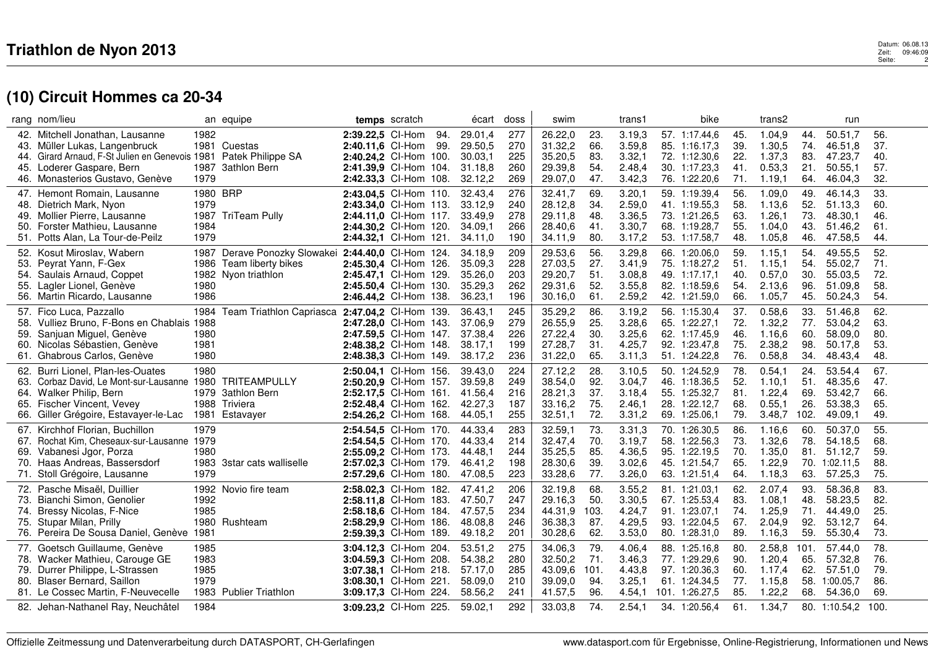#### $\mathbf 3$  Datum: 06.08.13 Zeit: 09:46:09<br>Zeit: 09:46:09<br>Seite: 2 Datum: 06.08.13<br>Zeit: 09:46:09<br>Seite: 2

# **(10) Circuit Hommes ca 20-34**

|     | rang nom/lieu                                        |      | an equipe                                      |                       | temps scratch |     | écart   | doss | swim    |             | trans1           |     | bike           |            | trans2  |      | run           |            |  |
|-----|------------------------------------------------------|------|------------------------------------------------|-----------------------|---------------|-----|---------|------|---------|-------------|------------------|-----|----------------|------------|---------|------|---------------|------------|--|
|     | 42. Mitchell Jonathan, Lausanne                      | 1982 |                                                | 2:39.22.5 CI-Hom      |               | 94. | 29.01,4 | 277  | 26.22,0 | 23.         | 3.19,3           |     | 57. 1:17.44.6  | 45.        | 1.04.9  | 44.  | 50.51.7       | 56.        |  |
|     | 43. Müller Lukas, Langenbruck                        | 1981 | Cuestas                                        | 2:40.11,6 CI-Hom      |               | 99. | 29.50,5 | 270  | 31.32,2 | 66.         | 3.59,8           |     | 85. 1:16.17,3  | 39.        | 1.30,5  | 74.  | 46.51,8       | 37.        |  |
| 44. | Girard Arnaud, F-St Julien en Genevois 1981          |      | Patek Philippe SA                              | 2:40.24.2 CI-Hom 100. |               |     | 30.03.1 | 225  | 35.20,5 | 83.         | 3.32,1           |     | 72. 1:12.30,6  | 22.        | 1.37,3  | 83.  | 47.23,7       | 40.        |  |
|     | 45. Loderer Gaspare, Bern                            | 1987 | <b>3athlon Bern</b>                            | 2:41.39,9 Cl-Hom 104. |               |     | 31.18.8 | 260  | 29.39,8 | 54.         | 2.48.4           |     | 30. 1:17.23.3  | 41.        | 0.53,3  | 21.  | 50.55.1       | 57.        |  |
|     | 46. Monasterios Gustavo, Genève                      | 1979 |                                                | 2:42.33,3 Cl-Hom 108. |               |     | 32.12,2 | 269  | 29.07,0 | 47.         | 3.42,3           |     | 76. 1:22.20,6  | 71.        | 1.19,1  | 64.  | 46.04,3       | 32.        |  |
|     | 47. Hemont Romain, Lausanne                          | 1980 | <b>BRP</b>                                     | 2:43.04,5 Cl-Hom 110. |               |     | 32.43.4 | 276  | 32.41,7 | 69.         | 3.20,1           |     | 59. 1:19.39,4  | 56.        | 1.09,0  | 49.  | 46.14.3       | 33.        |  |
|     | 48. Dietrich Mark, Nyon                              | 1979 |                                                | 2:43.34,0 Cl-Hom 113. |               |     | 33.12,9 | 240  | 28.12,8 | 34.         | 2.59,0           |     | 41. 1:19.55,3  | 58.        | 1.13,6  | 52.  | 51.13,3       | 60.        |  |
|     | 49. Mollier Pierre, Lausanne                         | 1987 | TriTeam Pully                                  | 2:44.11.0 Cl-Hom 117. |               |     | 33.49,9 | 278  | 29.11,8 | 48.         | 3.36,5           |     | 73. 1:21.26,5  | 63.        | 1.26, 1 | 73.  | 48.30,1       | 46.        |  |
|     | 50. Forster Mathieu, Lausanne                        | 1984 |                                                | 2:44.30,2 Cl-Hom 120. |               |     | 34.09,1 | 266  | 28.40,6 | 41.         | 3.30,7           |     | 68. 1:19.28,7  | 55.        | 1.04.0  | 43.  | 51.46,2       | 61.        |  |
|     | 51. Potts Alan, La Tour-de-Peilz                     | 1979 |                                                | 2:44.32,1 Cl-Hom 121. |               |     | 34.11,0 | 190  | 34.11,9 | 80.         | 3.17,2           |     | 53. 1:17.58,7  | 48.        | 1.05,8  | 46.  | 47.58,5       | 44.        |  |
|     | 52. Kosut Miroslav, Wabern                           | 1987 | Derave Ponozky Slowakei 2:44.40,0 Cl-Hom 124.  |                       |               |     | 34.18,9 | 209  | 29.53,6 | 56.         | 3.29,8           |     | 66. 1:20.06,0  | 59.        | 1.15,1  | 54.  | 49.55,5       | 52.        |  |
| 53. | Peyrat Yann, F-Gex                                   | 1986 | Team liberty bikes                             | 2:45.30,4 Cl-Hom 126. |               |     | 35.09,3 | 228  | 27.03,5 | 27.         | 3.41,9           |     | 75. 1:18.27,2  | 51.        | 1.15,1  | 54.  | 55.02,7       | 71.        |  |
|     | 54. Saulais Arnaud, Coppet                           |      | 1982 Nyon triathlon                            | 2:45.47,1 Cl-Hom 129. |               |     | 35.26,0 | 203  | 29.20,7 | 51.         | 3.08,8           |     | 49. 1:17.17,1  | 40.        | 0.57,0  | 30.  | 55.03,5       | 72.        |  |
|     | 55. Lagler Lionel, Genève                            | 1980 |                                                | 2:45.50,4 Cl-Hom 130. |               |     | 35.29,3 | 262  | 29.31,6 | 52.         | 3.55,8           |     | 82. 1:18.59,6  | 54.        | 2.13,6  | 96.  | 51.09,8       | 58.        |  |
|     | 56. Martin Ricardo, Lausanne                         | 1986 |                                                | 2:46.44,2 Cl-Hom 138. |               |     | 36.23,1 | 196  | 30.16,0 | 61.         | 2.59,2           |     | 42. 1:21.59,0  | 66.        | 1.05,7  | 45.  | 50.24,3       | 54.        |  |
|     | 57. Fico Luca, Pazzallo                              | 1984 | Team Triathlon Capriasca 2:47.04,2 Cl-Hom 139. |                       |               |     | 36.43,1 | 245  | 35.29,2 | 86.         | 3.19,2           |     | 56. 1:15.30,4  | 37.        | 0.58,6  | 33.  | 51.46,8       | 62.        |  |
| 58. | Vulliez Bruno, F-Bons en Chablais 1988               |      |                                                | 2:47.28,0 Cl-Hom 143. |               |     | 37.06,9 | 279  | 26.55,9 | 25.         | 3.28,6           |     | 65. 1:22.27,1  | 72.        | 1.32,2  | 77.  | 53.04,2       | 63.        |  |
| 59. | Sanjuan Miguel, Genève                               | 1980 |                                                | 2:47.59.5 Cl-Hom 147. |               |     | 37.38,4 | 226  | 27.22,4 | 30.         | 3.25,6           |     | 62. 1:17.45.9  | 46.        | 1.16,6  | 60.  | 58.09,0       | 80.        |  |
| 60. | Nicolas Sébastien, Genève                            | 1981 |                                                | 2:48.38,2 Cl-Hom 148. |               |     | 38.17,1 | 199  | 27.28,7 | 31.         | 4.25,7           |     | 92. 1:23.47,8  | 75.        | 2.38,2  | 98.  | 50.17,8       | 53.        |  |
|     | 61. Ghabrous Carlos, Genève                          | 1980 |                                                | 2:48.38,3 Cl-Hom 149. |               |     | 38.17,2 | 236  | 31.22,0 | 65.         | 3.11,3           |     | 51. 1:24.22,8  | 76.        | 0.58,8  | 34.  | 48.43,4       | 48.        |  |
|     | 62. Burri Lionel, Plan-les-Ouates                    | 1980 |                                                | 2:50.04,1 Cl-Hom 156. |               |     | 39.43.0 | 224  | 27.12,2 | 28.         | 3.10.5           |     | 50. 1:24.52.9  | 78.        | 0.54, 1 | 24.  | 53.54.4       | 67.        |  |
| 63. | Corbaz David, Le Mont-sur-Lausanne 1980              |      | TRITEAMPULLY                                   | 2:50.20,9 Cl-Hom 157. |               |     | 39.59,8 | 249  | 38.54,0 | 92.         | 3.04,7           |     | 46. 1:18.36,5  | 52.        | 1.10,1  | 51.  | 48.35,6       | 47.        |  |
|     | 64. Walker Philip, Bern                              |      | 1979 3athlon Bern                              | 2:52.17.5 CI-Hom 161. |               |     | 41.56,4 | 216  | 28.21,3 | 37.         | 3.18,4           |     | 55. 1:25.32,7  | 81.        | 1.22,4  | 69.  | 53.42,7       | 66.        |  |
| 65. | Fischer Vincent, Vevey                               | 1988 | Triviera                                       | 2:52.48.4 Cl-Hom 162. |               |     | 42.27,3 | 187  | 33.16,2 | 75.         | 2.46,1           | 28. | 1:22.12,7      | 68.        | 0.55, 1 | 26.  | 53.38,3       | 65.        |  |
|     | 66. Giller Grégoire, Estavayer-le-Lac 1981 Estavayer |      |                                                | 2:54.26,2 Cl-Hom 168. |               |     | 44.05,1 | 255  | 32.51,1 | 72.         | 3.31,2           |     | 69. 1:25.06,1  | 79.        | 3.48,7  | 102. | 49.09,1       | 49.        |  |
|     | 67. Kirchhof Florian, Buchillon                      | 1979 |                                                | 2:54.54,5 Cl-Hom 170. |               |     | 44.33.4 | 283  | 32.59,1 | 73.         | 3.31,3           |     | 70. 1:26.30,5  | 86.        | 1.16.6  | 60.  | 50.37.0       | 55.        |  |
|     | 67. Rochat Kim, Cheseaux-sur-Lausanne 1979           |      |                                                | 2:54.54,5 Cl-Hom 170. |               |     | 44.33,4 | 214  | 32.47,4 | 70.         | 3.19,7           |     | 58. 1:22.56,3  | 73.        | 1.32,6  | 78.  | 54.18,5       | 68.        |  |
| 69. | Vabanesi Jgor, Porza                                 | 1980 |                                                | 2:55.09.2 CI-Hom 173. |               |     | 44.48.1 | 244  | 35.25,5 | 85.         | 4.36,5           |     | 95. 1:22.19,5  | 70.        | 1.35,0  | 81.  | 51.12,7       | 59.        |  |
|     | 70. Haas Andreas, Bassersdorf                        | 1983 | 3star cats walliselle                          | 2:57.02.3 Cl-Hom 179. |               |     | 46.41.2 | 198  | 28.30,6 | 39.         | 3.02,6           |     | 45. 1:21.54,7  | 65.        | 1.22,9  | 70.  | 1:02.11.5     | 88.        |  |
|     | 71. Stoll Grégoire, Lausanne                         | 1979 |                                                | 2:57.29,6 Cl-Hom 180. |               |     | 47.08,5 | 223  | 33.28,6 | 77.         | 3.26,0           |     | 63. 1:21.51,4  | 64.        | 1.18,3  | 63.  | 57.25,3       | 75.        |  |
|     | 72. Pasche Misaël, Duillier                          | 1992 | Novio fire team                                |                       |               |     |         | 206  | 32.19,8 | 68.         |                  |     | 81. 1:21.03.1  |            |         |      |               |            |  |
|     |                                                      | 1992 |                                                | 2:58.02.3 Cl-Hom 182. |               |     | 47.41.2 | 247  | 29.16,3 |             | 3.55,2<br>3.30,5 |     |                | 62.        | 2.07,4  | 93.  | 58.36,8       | 83.<br>82. |  |
| 73. | Bianchi Simon, Genolier                              | 1985 |                                                | 2:58.11,8 Cl-Hom 183. |               |     | 47.50,7 | 234  |         | 50.         |                  |     | 67. 1:25.53,4  | 83.<br>74. | 1.08,1  | 48.  | 58.23,5       | 25.        |  |
| 74. | Bressy Nicolas, F-Nice                               | 1980 | Rushteam                                       | 2:58.18.6 CI-Hom 184. |               |     | 47.57,5 | 246  | 44.31,9 | 103.<br>87. | 4.24,7<br>4.29,5 |     | 91. 1:23.07,1  | 67.        | 1.25,9  | 71.  | 44.49,0       | 64.        |  |
|     | 75. Stupar Milan, Prilly                             |      |                                                | 2:58.29.9 CI-Hom 186. |               |     | 48.08,8 | 201  | 36.38,3 | 62.         |                  |     | 93. 1:22.04,5  | 89.        | 2.04,9  | 92.  | 53.12,7       | 73.        |  |
|     | 76. Pereira De Sousa Daniel, Genève 1981             |      |                                                | 2:59.39,3 Cl-Hom 189. |               |     | 49.18,2 |      | 30.28,6 |             | 3.53,0           |     | 80. 1:28.31,0  |            | 1.16,3  | 59.  | 55.30,4       |            |  |
|     | 77. Goetsch Guillaume, Genève                        | 1985 |                                                | 3:04.12,3 Cl-Hom 204. |               |     | 53.51,2 | 275  | 34.06,3 | 79.         | 4.06,4           |     | 88. 1:25.16,8  | 80.        | 2.58,8  | 101. | 57.44.0       | 78.        |  |
| 78. | Wacker Mathieu, Carouge GE                           | 1983 |                                                | 3:04.59,3 Cl-Hom 208. |               |     | 54.38,2 | 280  | 32.50,2 | 71.         | 3.46,3           | 77. | 1:29.29,6      | 90.        | 1.20,4  | 65.  | 57.32,8       | 76.        |  |
|     | 79. Durrer Philippe, L-Strassen                      | 1985 |                                                | 3:07.38,1 Cl-Hom 218. |               |     | 57.17,0 | 285  | 43.09,6 | 101.        | 4.43,8           |     | 97. 1:20.36,3  | 60.        | 1.17,4  | 62.  | 57.51,0       | 79.        |  |
|     | 80. Blaser Bernard, Saillon                          | 1979 |                                                | 3:08.30,1 Cl-Hom 221. |               |     | 58.09,0 | 210  | 39.09,0 | 94.         | 3.25,1           |     | 61. 1:24.34,5  | 77.        | 1.15,8  | 58.  | 1:00.05.7     | 86.        |  |
|     | 81. Le Cossec Martin, F-Neuvecelle                   |      | 1983 Publier Triathlon                         | 3:09.17,3 Cl-Hom 224. |               |     | 58.56,2 | 241  | 41.57,5 | 96.         | 4.54,1           |     | 101. 1:26.27,5 | 85.        | 1.22,2  | 68.  | 54.36,0       | 69.        |  |
|     | 82. Jehan-Nathanel Ray, Neuchâtel                    | 1984 |                                                | 3:09.23,2 Cl-Hom 225. |               |     | 59.02,1 | 292  | 33.03,8 | 74.         | 2.54,1           |     | 34. 1:20.56,4  | 61.        | 1.34,7  |      | 80. 1:10.54,2 | 100.       |  |
|     |                                                      |      |                                                |                       |               |     |         |      |         |             |                  |     |                |            |         |      |               |            |  |